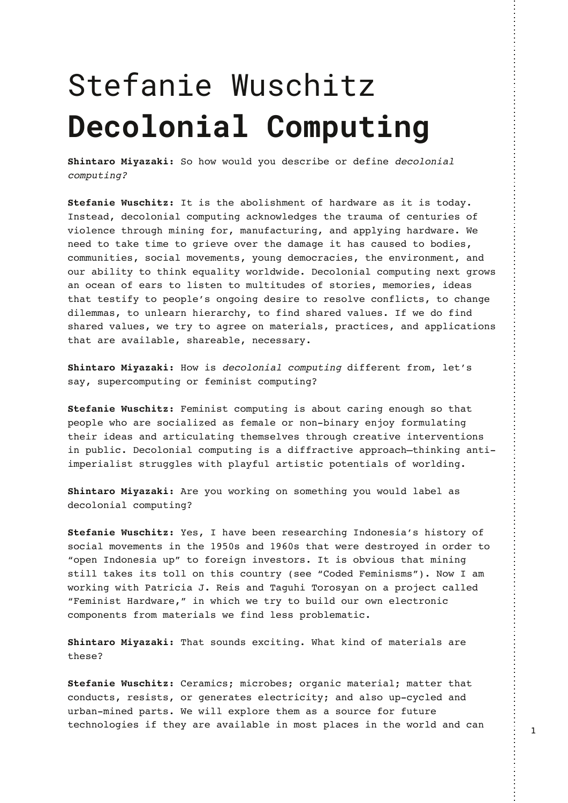## Stefanie Wuschitz **Decolonial Computing**

**Shintaro Miyazaki:** So how would you describe or define decolonial computing?

**Stefanie Wuschitz:** It is the abolishment of hardware as it is today. Instead, decolonial computing acknowledges the trauma of centuries of violence through mining for, manufacturing, and applying hardware. We need to take time to grieve over the damage it has caused to bodies, communities, social movements, young democracies, the environment, and our ability to think equality worldwide. Decolonial computing next grows an ocean of ears to listen to multitudes of stories, memories, ideas that testify to people's ongoing desire to resolve conflicts, to change dilemmas, to unlearn hierarchy, to find shared values. If we do find shared values, we try to agree on materials, practices, and applications that are available, shareable, necessary.

**Shintaro Miyazaki:** How is decolonial computing different from, let's say, supercomputing or feminist computing?

**Stefanie Wuschitz:** Feminist computing is about caring enough so that people who are socialized as female or non-binary enjoy formulating their ideas and articulating themselves through creative interventions in public. Decolonial computing is a diffractive approach—thinking antiimperialist struggles with playful artistic potentials of worlding.

**Shintaro Miyazaki:** Are you working on something you would label as decolonial computing?

**Stefanie Wuschitz:** Yes, I have been researching Indonesia's history of social movements in the 1950s and 1960s that were destroyed in order to "open Indonesia up" to foreign investors. It is obvious that mining still takes its toll on this country (see "Coded Feminisms"). Now I am working with Patricia J. Reis and Taguhi Torosyan on a project called "Feminist Hardware," in which we try to build our own electronic components from materials we find less problematic.

**Shintaro Miyazaki:** That sounds exciting. What kind of materials are these?

**Stefanie Wuschitz:** Ceramics; microbes; organic material; matter that conducts, resists, or generates electricity; and also up-cycled and urban-mined parts. We will explore them as a source for future technologies if they are available in most places in the world and can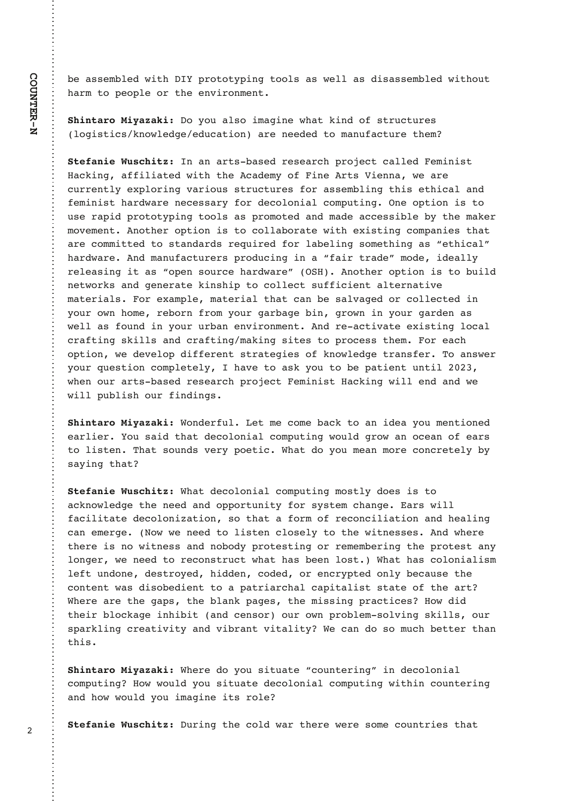be assembled with DIY prototyping tools as well as disassembled without harm to people or the environment.

**Shintaro Miyazaki:** Do you also imagine what kind of structures (logistics/knowledge/education) are needed to manufacture them?

**Stefanie Wuschitz:** In an arts-based research project called Feminist Hacking, affiliated with the Academy of Fine Arts Vienna, we are currently exploring various structures for assembling this ethical and feminist hardware necessary for decolonial computing. One option is to use rapid prototyping tools as promoted and made accessible by the maker movement. Another option is to collaborate with existing companies that are committed to standards required for labeling something as "ethical" hardware. And manufacturers producing in a "fair trade" mode, ideally releasing it as "open source hardware" (OSH). Another option is to build networks and generate kinship to collect sufficient alternative materials. For example, material that can be salvaged or collected in your own home, reborn from your garbage bin, grown in your garden as well as found in your urban environment. And re-activate existing local crafting skills and crafting/making sites to process them. For each option, we develop different strategies of knowledge transfer. To answer your question completely, I have to ask you to be patient until 2023, when our arts-based research project Feminist Hacking will end and we will publish our findings.

**Shintaro Miyazaki:** Wonderful. Let me come back to an idea you mentioned earlier. You said that decolonial computing would grow an ocean of ears to listen. That sounds very poetic. What do you mean more concretely by saying that?

**Stefanie Wuschitz:** What decolonial computing mostly does is to acknowledge the need and opportunity for system change. Ears will facilitate decolonization, so that a form of reconciliation and healing can emerge. (Now we need to listen closely to the witnesses. And where there is no witness and nobody protesting or remembering the protest any longer, we need to reconstruct what has been lost.) What has colonialism left undone, destroyed, hidden, coded, or encrypted only because the content was disobedient to a patriarchal capitalist state of the art? Where are the gaps, the blank pages, the missing practices? How did their blockage inhibit (and censor) our own problem-solving skills, our sparkling creativity and vibrant vitality? We can do so much better than this.

**Shintaro Miyazaki:** Where do you situate "countering" in decolonial computing? How would you situate decolonial computing within countering and how would you imagine its role?

**Stefanie Wuschitz:** During the cold war there were some countries that

2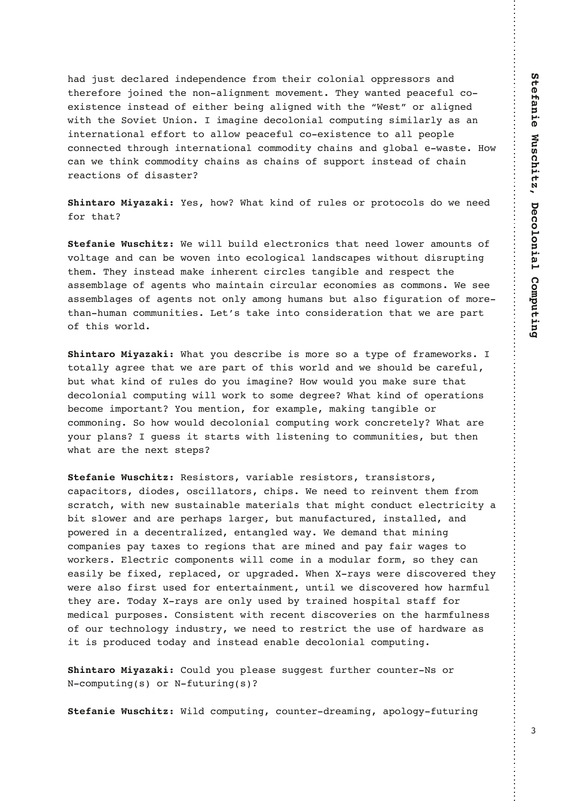had just declared independence from their colonial oppressors and therefore joined the non-alignment movement. They wanted peaceful coexistence instead of either being aligned with the "West" or aligned with the Soviet Union. I imagine decolonial computing similarly as an international effort to allow peaceful co-existence to all people connected through international commodity chains and global e-waste. How can we think commodity chains as chains of support instead of chain reactions of disaster?

**Shintaro Miyazaki:** Yes, how? What kind of rules or protocols do we need for that?

**Stefanie Wuschitz:** We will build electronics that need lower amounts of voltage and can be woven into ecological landscapes without disrupting them. They instead make inherent circles tangible and respect the assemblage of agents who maintain circular economies as commons. We see assemblages of agents not only among humans but also figuration of morethan-human communities. Let's take into consideration that we are part of this world.

**Shintaro Miyazaki:** What you describe is more so a type of frameworks. I totally agree that we are part of this world and we should be careful, but what kind of rules do you imagine? How would you make sure that decolonial computing will work to some degree? What kind of operations become important? You mention, for example, making tangible or commoning. So how would decolonial computing work concretely? What are your plans? I guess it starts with listening to communities, but then what are the next steps?

**Stefanie Wuschitz:** Resistors, variable resistors, transistors, capacitors, diodes, oscillators, chips. We need to reinvent them from scratch, with new sustainable materials that might conduct electricity a bit slower and are perhaps larger, but manufactured, installed, and powered in a decentralized, entangled way. We demand that mining companies pay taxes to regions that are mined and pay fair wages to workers. Electric components will come in a modular form, so they can easily be fixed, replaced, or upgraded. When X-rays were discovered they were also first used for entertainment, until we discovered how harmful they are. Today X-rays are only used by trained hospital staff for medical purposes. Consistent with recent discoveries on the harmfulness of our technology industry, we need to restrict the use of hardware as it is produced today and instead enable decolonial computing.

**Shintaro Miyazaki:** Could you please suggest further counter-Ns or N-computing(s) or N-futuring(s)?

**Stefanie Wuschitz:** Wild computing, counter-dreaming, apology-futuring